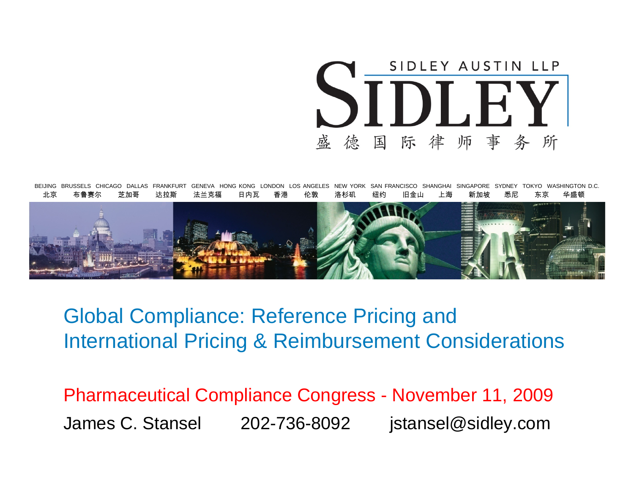

CHICAGO DALLAS FRANKFURT GENEVA HONG-KONG LONDON LOS ANGELES NEW YORK SAN FRANCISCO SHANGHAI SINGAPORE SYDNEY



#### Global Compliance: Reference Pricing and International Pricing & Reimbursement Considerations

Pharmaceutical Compliance Congress - November 11, 2009 James C. Stansel 202-736-8092 jstansel@sidley.com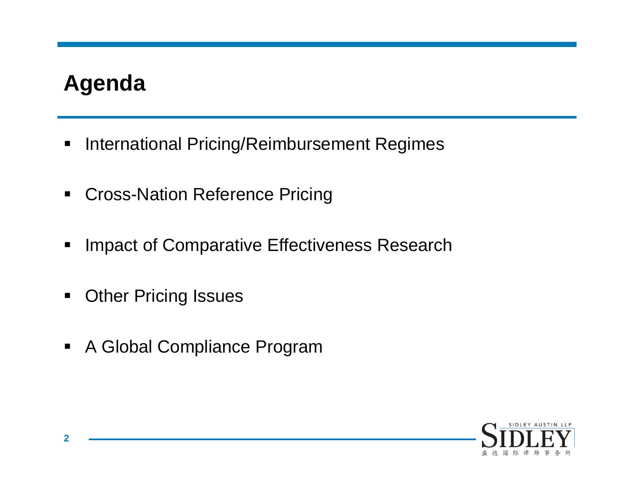## **Agenda**

- $\blacksquare$ International Pricing/Reimbursement Regimes
- Cross-Nation Reference Pricing
- $\blacksquare$ Impact of Comparative Effectiveness Research
- $\blacksquare$ Other Pricing Issues
- $\blacksquare$ A Global Compliance Program

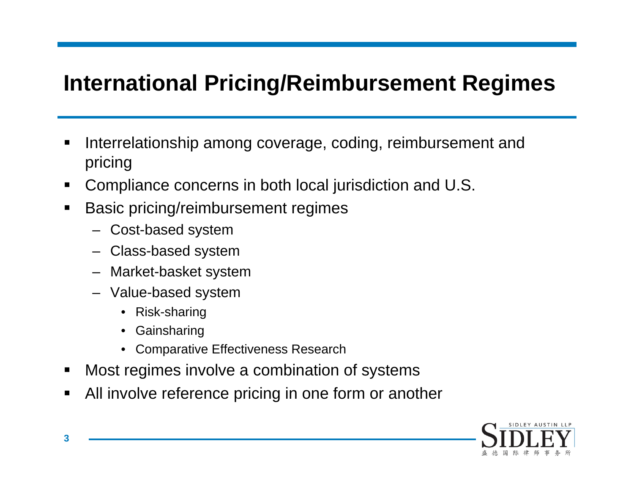# **International Pricing/Reimbursement Regimes**

- $\blacksquare$  Interrelationship among coverage, coding, reimbursement and pricing
- $\blacksquare$ Compliance concerns in both local jurisdiction and U.S.
- П Basic pricing/reimbursement regimes
	- Cost-based system
	- Class-based system
	- Market-basket system
	- Value-based system
		- Risk-sharing
		- **Gainsharing**
		- Comparative Effectiveness Research
- $\blacksquare$ Most regimes involve a combination of systems
- $\blacksquare$ All involve reference pricing in one form or another

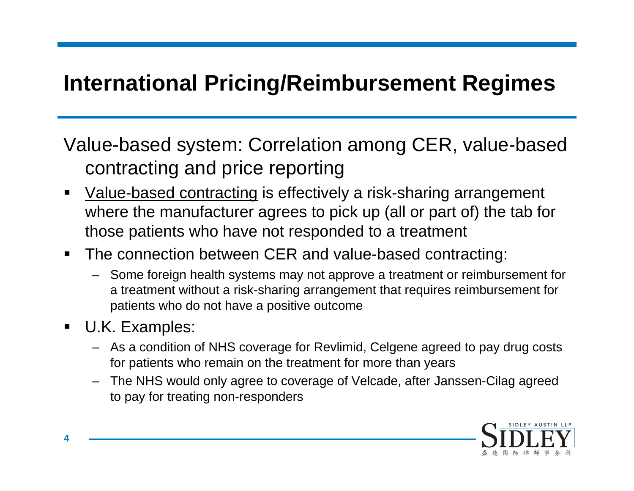# **International Pricing/Reimbursement Regimes**

Value-based system: Correlation among CER, value-based contracting and price reporting

- п Value-based contracting is effectively a risk-sharing arrangement where the manufacturer agrees to pick up (all or part of) the tab for those patients who have not responded to a treatment
- $\blacksquare$  The connection between CER and value-based contracting:
	- Some foreign health systems may not approve a treatment or reimbursement for a treatment without a risk-sharing arrangement that requires reimbursement for patients who do not have a positive outcome
- $\blacksquare$  U.K. Examples:
	- As a condition of NHS coverage for Revlimid, Celgene agreed to pay drug costs for patients who remain on the treatment for more than years
	- The NHS would only agree to coverage of Velcade, after Janssen-Cilag agreed to pay for treating non-responders

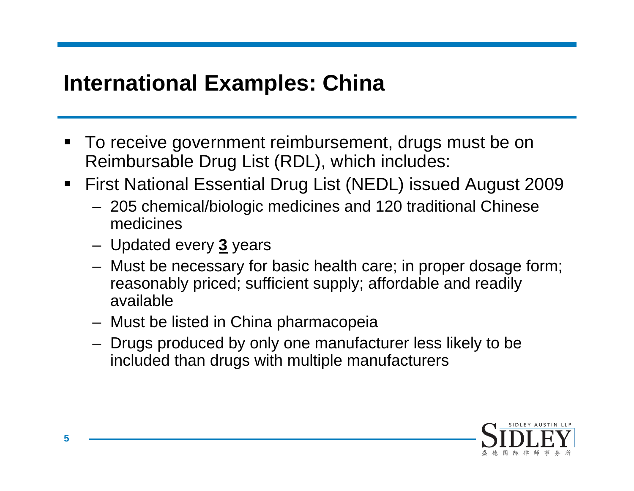#### **International Examples: China**

- To receive government reimbursement, drugs must be on Reimbursable Drug List (RDL), which includes:
- $\blacksquare$  First National Essential Drug List (NEDL) issued August 2009
	- 205 chemical/biologic medicines and 120 traditional Chinese medicines
	- Updated every **3** years
	- Must be necessary for basic health care; in proper dosage form; reasonably priced; sufficient supply; affordable and readily available
	- Must be listed in China pharmacopeia
	- Drugs produced by only one manufacturer less likely to be included than drugs with multiple manufacturers

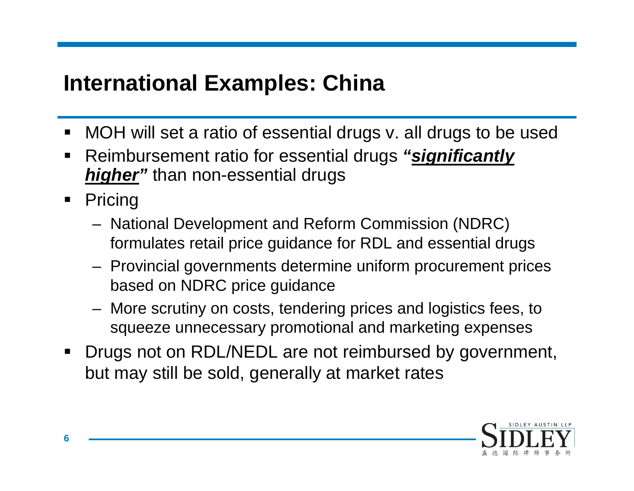## **International Examples: China**

- ٠ MOH will set a ratio of essential drugs v. all drugs to be used
- ٠ Reimbursement ratio for essential drugs *"significantly higher"* than non-essential drugs
- **•** Pricing
	- National Development and Reform Commission (NDRC) formulates retail price guidance for RDL and essential drugs
	- Provincial governments determine uniform procurement prices based on NDRC price guidance
	- More scrutiny on costs, tendering prices and logistics fees, to squeeze unnecessary promotional and marketing expenses
- ٠ Drugs not on RDL/NEDL are not reimbursed by government, but may still be sold, generally at market rates

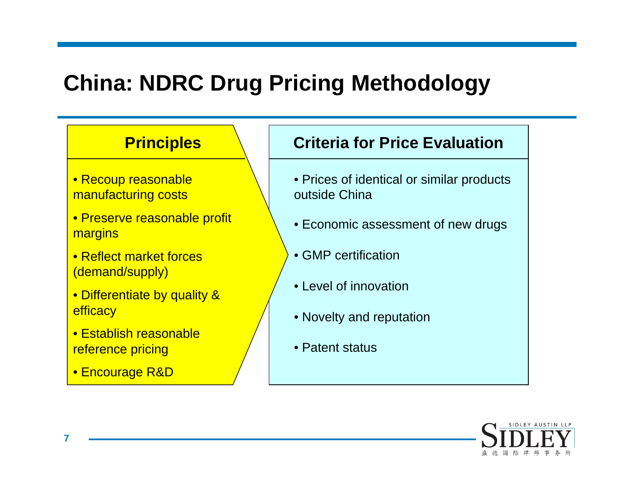# **China: NDRC Drug Pricing Methodology**

#### **Principles**

- Recoup reasonable manufacturing costs
- Preserve reasonable profit margins
- Reflect market forces (demand/supply)
- Differentiate by quality & **efficacy**
- Establish reasonable reference pricing
- Encourage R&D

#### **Criteria for Price Evaluation**

- Prices of identical or similar products outside China
- Economic assessment of new drugs
- GMP certification
- Level of innovation
- Novelty and reputation
- Patent status

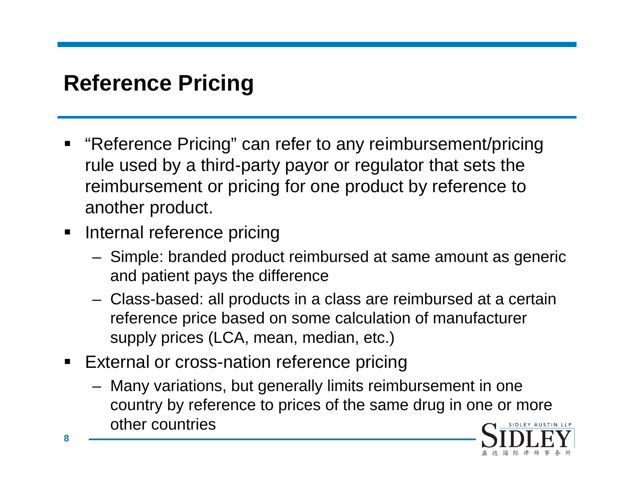# **Reference Pricing**

- ٠ "Reference Pricing" can refer to any reimbursement/pricing rule used by a third-party payor or regulator that sets the reimbursement or pricing for one product by reference to another product.
- $\blacksquare$  Internal reference pricing
	- Simple: branded product reimbursed at same amount as generic and patient pays the difference
	- Class-based: all products in a class are reimbursed at a certain reference price based on some calculation of manufacturer supply prices (LCA, mean, median, etc.)
- **External or cross-nation reference pricing** 
	- Many variations, but generally limits reimbursement in one country by reference to prices of the same drug in one or more other countries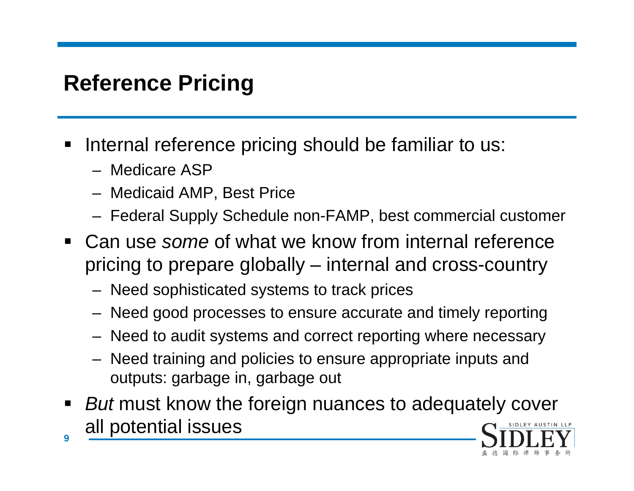# **Reference Pricing**

- E Internal reference pricing should be familiar to us:
	- Medicare ASP
	- Medicaid AMP, Best Price
	- Federal Supply Schedule non-FAMP, best commercial customer
- E Can use *some* of what we know from internal reference pricing to prepare globally – internal and cross-country
	- Need sophisticated systems to track prices
	- Need good processes to ensure accurate and timely reporting
	- Need to audit systems and correct reporting where necessary
	- Need training and policies to ensure appropriate inputs and outputs: garbage in, garbage out
- L *But* must know the foreign nuances to adequately cover all potential issues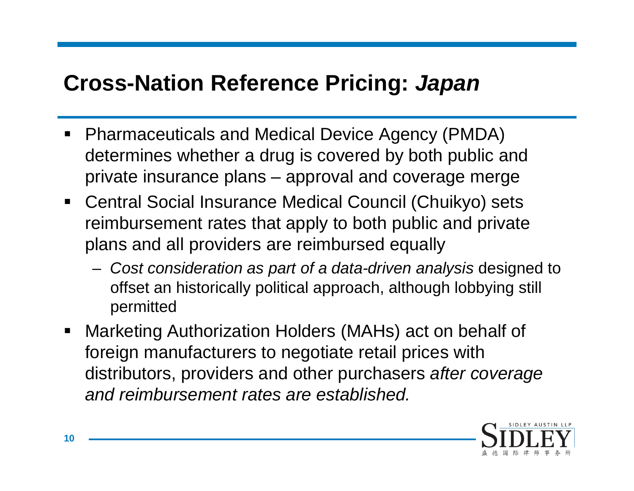## **Cross-Nation Reference Pricing:** *Japan*

- $\blacksquare$  Pharmaceuticals and Medical Device Agency (PMDA) determines whether a drug is covered by both public and private insurance plans – approval and coverage merge
- Central Social Insurance Medical Council (Chuikyo) sets reimbursement rates that apply to both public and private plans and all providers are reimbursed equally
	- *Cost consideration as part of a data-driven analysis* designed to offset an historically political approach, although lobbying still permitted
- ٠ Marketing Authorization Holders (MAHs) act on behalf of foreign manufacturers to negotiate retail prices with distributors, providers and other purchasers *after coverage and reimbursement rates are established.*

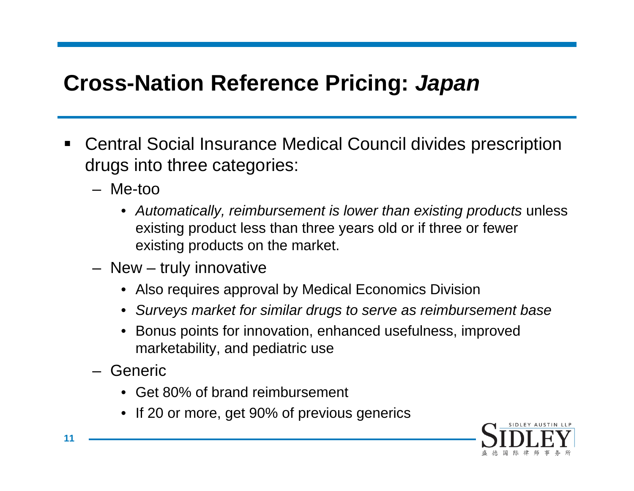# **Cross-Nation Reference Pricing:** *Japan*

- ٠ Central Social Insurance Medical Council divides prescription drugs into three categories:
	- Me-too
		- *Automatically, reimbursement is lower than existing products* unless existing product less than three years old or if three or fewer existing products on the market.
	- New truly innovative
		- Also requires approval by Medical Economics Division
		- *Surveys market for similar drugs to serve as reimbursement base*
		- Bonus points for innovation, enhanced usefulness, improved marketability, and pediatric use
	- Generic
		- Get 80% of brand reimbursement
		- If 20 or more, get 90% of previous generics

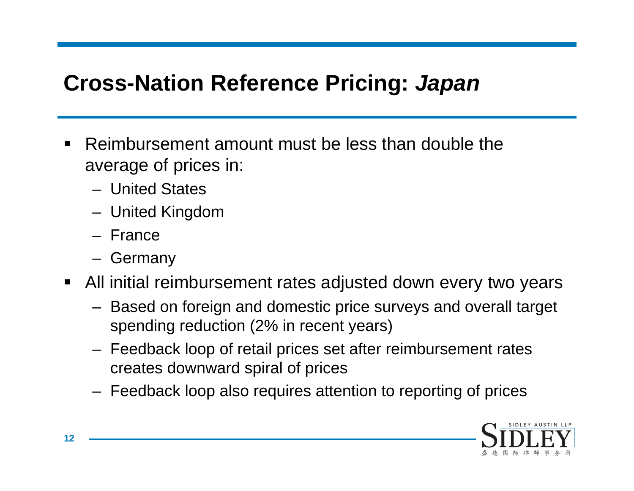# **Cross-Nation Reference Pricing:** *Japan*

- ٠ Reimbursement amount must be less than double the average of prices in:
	- United States
	- United Kingdom
	- France
	- Germany
- All initial reimbursement rates adjusted down every two years
	- Based on foreign and domestic price surveys and overall target spending reduction (2% in recent years)
	- Feedback loop of retail prices set after reimbursement rates creates downward spiral of prices
	- Feedback loop also requires attention to reporting of prices

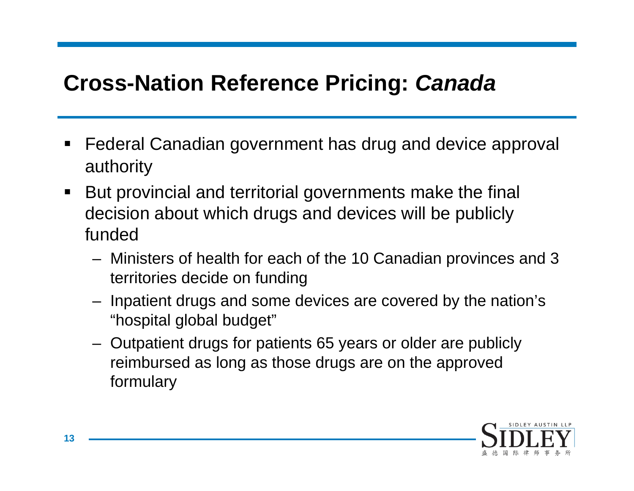# **Cross-Nation Reference Pricing:** *Canada*

- ٠ Federal Canadian government has drug and device approval authority
- $\blacksquare$  But provincial and territorial governments make the final decision about which drugs and devices will be publicly funded
	- Ministers of health for each of the 10 Canadian provinces and 3 territories decide on funding
	- Inpatient drugs and some devices are covered by the nation's "hospital global budget"
	- Outpatient drugs for patients 65 years or older are publicly reimbursed as long as those drugs are on the approved formulary

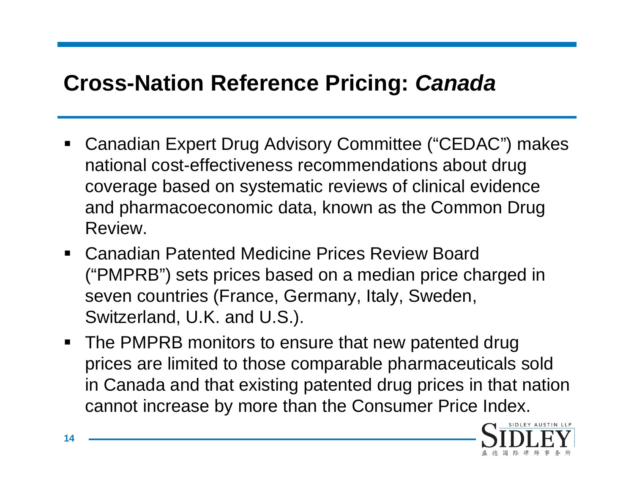## **Cross-Nation Reference Pricing:** *Canada*

- ٠ Canadian Expert Drug Advisory Committee ("CEDAC") makes national cost-effectiveness recommendations about drug coverage based on systematic reviews of clinical evidence and pharmacoeconomic data, known as the Common Drug Review.
- Canadian Patented Medicine Prices Review Board ("PMPRB") sets prices based on a median price charged in seven countries (France, Germany, Italy, Sweden, Switzerland, U.K. and U.S.).
- The PMPRB monitors to ensure that new patented drug prices are limited to those comparable pharmaceuticals sold in Canada and that existing patented drug prices in that nation cannot increase by more than the Consumer Price Index.

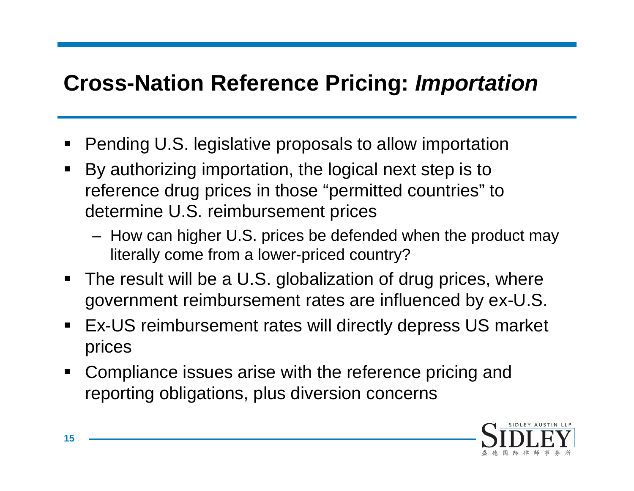### **Cross-Nation Reference Pricing:** *Importation*

- ٠ Pending U.S. legislative proposals to allow importation
- ٠ By authorizing importation, the logical next step is to reference drug prices in those "permitted countries" to determine U.S. reimbursement prices
	- How can higher U.S. prices be defended when the product may literally come from a lower-priced country?
- The result will be a U.S. globalization of drug prices, where government reimbursement rates are influenced by ex-U.S.
- ٠ Ex-US reimbursement rates will directly depress US market prices
- ٠ Compliance issues arise with the reference pricing and reporting obligations, plus diversion concerns

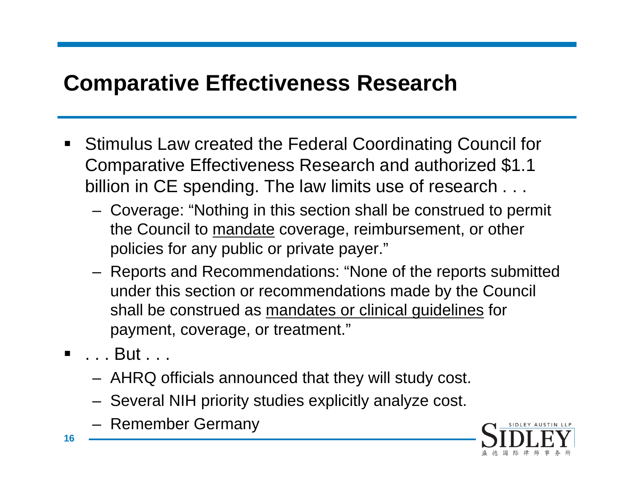- ٠ Stimulus Law created the Federal Coordinating Council for Comparative Effectiveness Research and authorized \$1.1 billion in CE spending. The law limits use of research . . .
	- Coverage: "Nothing in this section shall be construed to permit the Council to mandate coverage, reimbursement, or other policies for any public or private payer."
	- Reports and Recommendations: "None of the reports submitted under this section or recommendations made by the Council shall be construed as mandates or clinical guidelines for payment, coverage, or treatment."
- $\blacksquare$  . . . But . . .
	- AHRQ officials announced that they will study cost.
	- Several NIH priority studies explicitly analyze cost.
	- Remember Germany

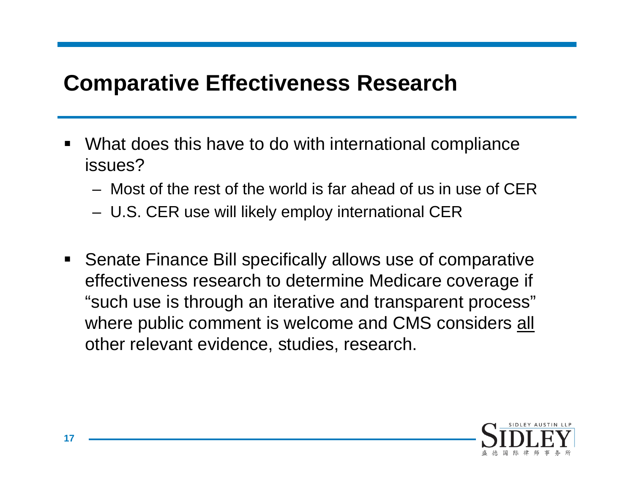- ٠ What does this have to do with international compliance issues?
	- Most of the rest of the world is far ahead of us in use of CER
	- U.S. CER use will likely employ international CER
- $\blacksquare$  Senate Finance Bill specifically allows use of comparative effectiveness research to determine Medicare coverage if "such use is through an iterative and transparent process" where public comment is welcome and CMS considers all other relevant evidence, studies, research.

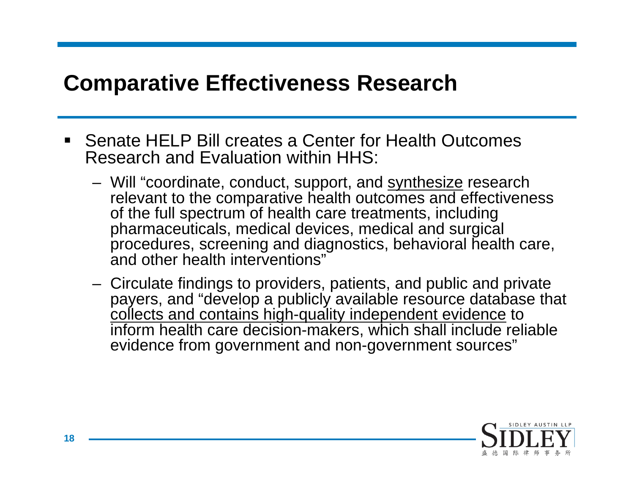- Senate HELP Bill creates a Center for Health Outcomes Research and Evaluation within HHS:
	- Will "coordinate, conduct, support, and synthesize research relevant to the comparative health outcomes and effectiveness of the full spectrum of health care treatments, including pharmaceuticals, medical devices, medical and surgical procedures, screening and diagnostics, behavioral health care, and other health interventions"
	- Circulate findings to providers, patients, and public and private payers, and "develop a publicly available resource database that collects and contains high-quality independent evidence to inform health care decision-makers, which shall include reliable evidence from government and non-government sources"

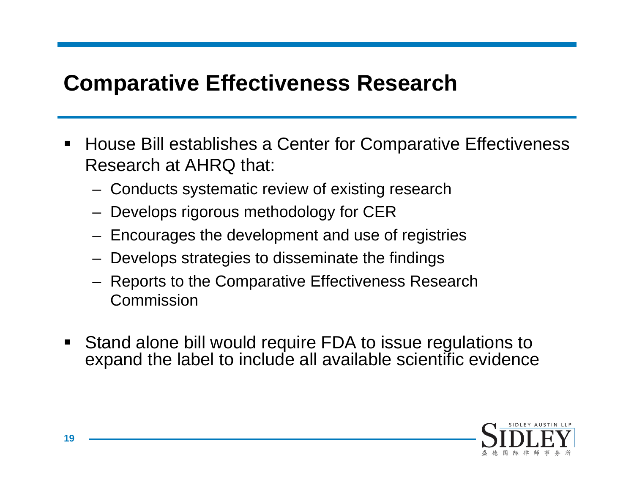- ٠ House Bill establishes a Center for Comparative Effectiveness Research at AHRQ that:
	- Conducts systematic review of existing research
	- Develops rigorous methodology for CER
	- Encourages the development and use of registries
	- Develops strategies to disseminate the findings
	- Reports to the Comparative Effectiveness Research Commission
- ٠ Stand alone bill would require FDA to issue regulations to expand the label to include all available scientific evidence

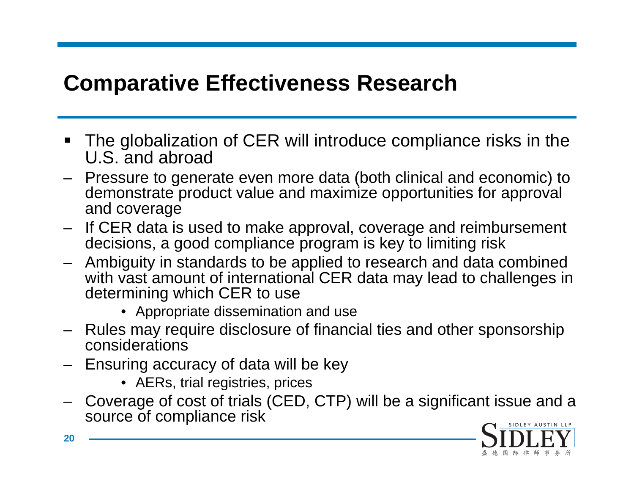- The globalization of CER will introduce compliance risks in the U.S. and abroad
- Pressure to generate even more data (both clinical and economic) to demonstrate product value and maximize opportunities for approval and coverage
- If CER data is used to make approval, coverage and reimbursement decisions, a good compliance program is key to limiting risk
- Ambiguity in standards to be applied to research and data combined with vast amount of international CER data may lead to challenges in determining which CER to use
	- Appropriate dissemination and use
- Rules may require disclosure of financial ties and other sponsorship considerations
- Ensuring accuracy of data will be key
	- AERs, trial registries, prices
- Coverage of cost of trials (CED, CTP) will be a significant issue and a source of compliance risk

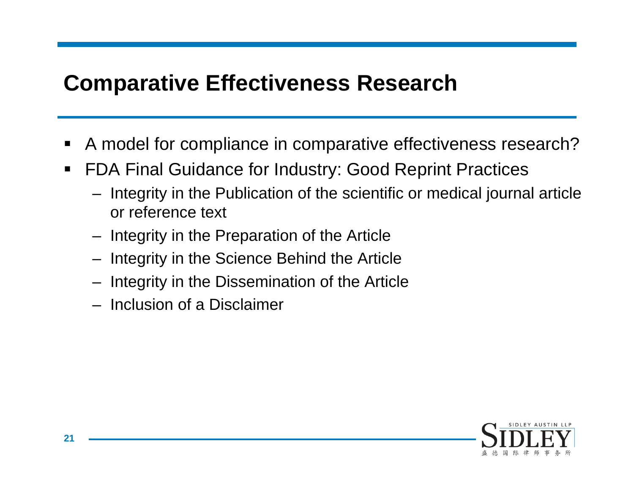- ٠ A model for compliance in comparative effectiveness research?
- $\blacksquare$  FDA Final Guidance for Industry: Good Reprint Practices
	- Integrity in the Publication of the scientific or medical journal article or reference text
	- Integrity in the Preparation of the Article
	- Integrity in the Science Behind the Article
	- Integrity in the Dissemination of the Article
	- Inclusion of a Disclaimer

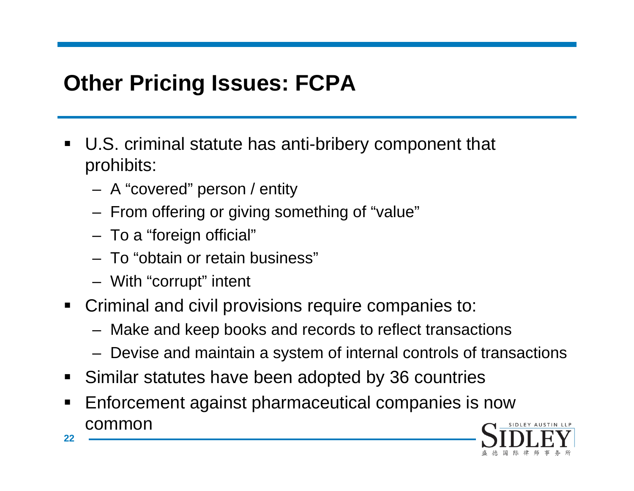# **Other Pricing Issues: FCPA**

- ٠ U.S. criminal statute has anti-bribery component that prohibits:
	- A "covered" person / entity
	- From offering or giving something of "value"
	- To a "foreign official"
	- To "obtain or retain business"
	- With "corrupt" intent
- $\blacksquare$  Criminal and civil provisions require companies to:
	- Make and keep books and records to reflect transactions
	- Devise and maintain a system of internal controls of transactions
- $\blacksquare$ Similar statutes have been adopted by 36 countries
- $\blacksquare$  Enforcement against pharmaceutical companies is now common

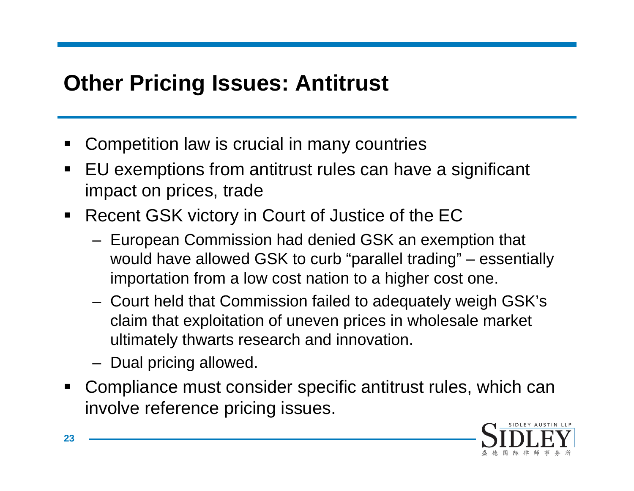# **Other Pricing Issues: Antitrust**

- ٠ Competition law is crucial in many countries
- ٠ EU exemptions from antitrust rules can have a significant impact on prices, trade
- $\blacksquare$  Recent GSK victory in Court of Justice of the EC
	- European Commission had denied GSK an exemption that would have allowed GSK to curb "parallel trading" – essentially importation from a low cost nation to a higher cost one.
	- Court held that Commission failed to adequately weigh GSK's claim that exploitation of uneven prices in wholesale market ultimately thwarts research and innovation.
	- Dual pricing allowed.
- ٠ Compliance must consider specific antitrust rules, which can involve reference pricing issues.

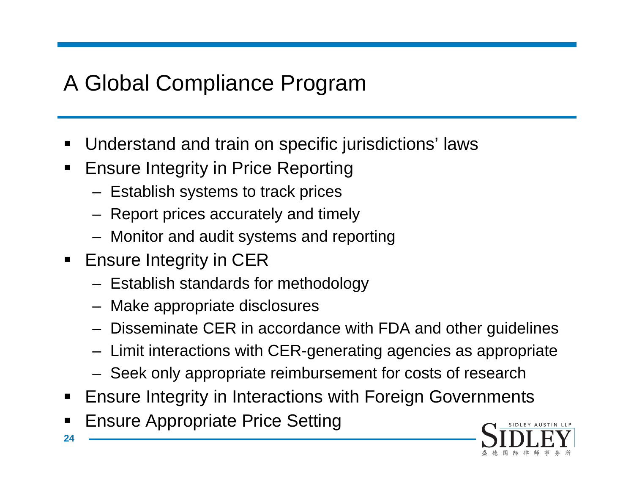# A Global Compliance Program

- ٠ Understand and train on specific jurisdictions' laws
- $\blacksquare$  Ensure Integrity in Price Reporting
	- Establish systems to track prices
	- Report prices accurately and timely
	- Monitor and audit systems and reporting
- $\blacksquare$  Ensure Integrity in CER
	- Establish standards for methodology
	- Make appropriate disclosures
	- Disseminate CER in accordance with FDA and other guidelines
	- Limit interactions with CER-generating agencies as appropriate
	- Seek only appropriate reimbursement for costs of research
- $\blacksquare$ Ensure Integrity in Interactions with Foreign Governments
- ٠ Ensure Appropriate Price Setting